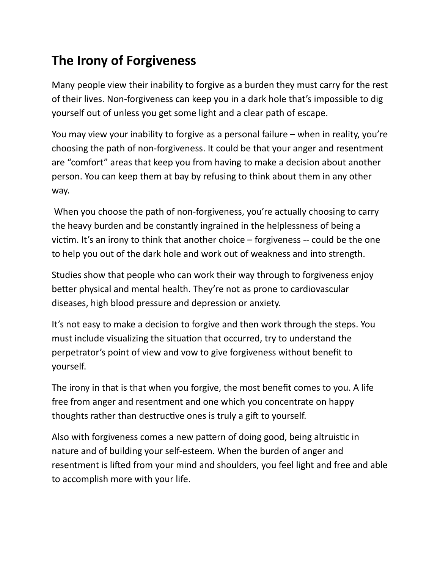## **The Irony of Forgiveness**

Many people view their inability to forgive as a burden they must carry for the rest of their lives. Non-forgiveness can keep you in a dark hole that's impossible to dig yourself out of unless you get some light and a clear path of escape.

You may view your inability to forgive as a personal failure  $-$  when in reality, you're choosing the path of non-forgiveness. It could be that your anger and resentment are "comfort" areas that keep you from having to make a decision about another person. You can keep them at bay by refusing to think about them in any other way.

When you choose the path of non-forgiveness, you're actually choosing to carry the heavy burden and be constantly ingrained in the helplessness of being a victim. It's an irony to think that another choice  $-$  forgiveness  $-$  could be the one to help you out of the dark hole and work out of weakness and into strength.

Studies show that people who can work their way through to forgiveness enjoy better physical and mental health. They're not as prone to cardiovascular diseases, high blood pressure and depression or anxiety.

It's not easy to make a decision to forgive and then work through the steps. You must include visualizing the situation that occurred, try to understand the perpetrator's point of view and vow to give forgiveness without benefit to yourself.

The irony in that is that when you forgive, the most benefit comes to you. A life free from anger and resentment and one which you concentrate on happy thoughts rather than destructive ones is truly a gift to yourself.

Also with forgiveness comes a new pattern of doing good, being altruistic in nature and of building your self-esteem. When the burden of anger and resentment is lifted from your mind and shoulders, you feel light and free and able to accomplish more with your life.